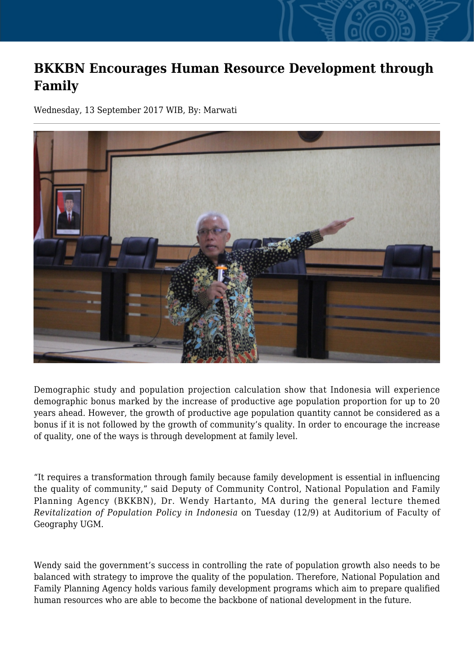## **BKKBN Encourages Human Resource Development through Family**

Wednesday, 13 September 2017 WIB, By: Marwati



Demographic study and population projection calculation show that Indonesia will experience demographic bonus marked by the increase of productive age population proportion for up to 20 years ahead. However, the growth of productive age population quantity cannot be considered as a bonus if it is not followed by the growth of community's quality. In order to encourage the increase of quality, one of the ways is through development at family level.

"It requires a transformation through family because family development is essential in influencing the quality of community," said Deputy of Community Control, National Population and Family Planning Agency (BKKBN), Dr. Wendy Hartanto, MA during the general lecture themed *Revitalization of Population Policy in Indonesia* on Tuesday (12/9) at Auditorium of Faculty of Geography UGM.

Wendy said the government's success in controlling the rate of population growth also needs to be balanced with strategy to improve the quality of the population. Therefore, National Population and Family Planning Agency holds various family development programs which aim to prepare qualified human resources who are able to become the backbone of national development in the future.